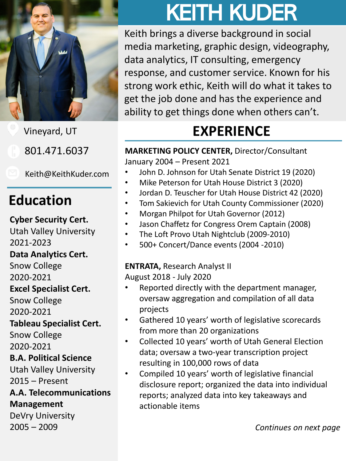

Vineyard, UT

801.471.6037

Keith@KeithKuder.com

### **Education**

**Cyber Security Cert.**

Utah Valley University

2021-2023

**Data Analytics Cert.**

Snow College

2020-2021

#### **Excel Specialist Cert.**

Snow College 2020-2021

#### **Tableau Specialist Cert.**

Snow College 2020-2021

#### **B.A. Political Science**

Utah Valley University 2015 – Present

#### **A.A. Telecommunications Management**

DeVry University 2005 – 2009

# KEITH KUDER

Keith brings a diverse background in social media marketing, graphic design, videography, data analytics, IT consulting, emergency response, and customer service. Known for his strong work ethic, Keith will do what it takes to get the job done and has the experience and ability to get things done when others can't.

# **EXPERIENCE**

**MARKETING POLICY CENTER,** Director/Consultant January 2004 – Present 2021

- John D. Johnson for Utah Senate District 19 (2020)
- Mike Peterson for Utah House District 3 (2020)
- Jordan D. Teuscher for Utah House District 42 (2020)
- Tom Sakievich for Utah County Commissioner (2020)
- Morgan Philpot for Utah Governor (2012)
- Jason Chaffetz for Congress Orem Captain (2008)
- The Loft Provo Utah Nightclub (2009-2010)
- 500+ Concert/Dance events (2004 -2010)

#### **ENTRATA,** Research Analyst II

August 2018 - July 2020

- Reported directly with the department manager, oversaw aggregation and compilation of all data projects
- Gathered 10 years' worth of legislative scorecards from more than 20 organizations
- Collected 10 years' worth of Utah General Election data; oversaw a two-year transcription project resulting in 100,000 rows of data
- Compiled 10 years' worth of legislative financial disclosure report; organized the data into individual reports; analyzed data into key takeaways and actionable items